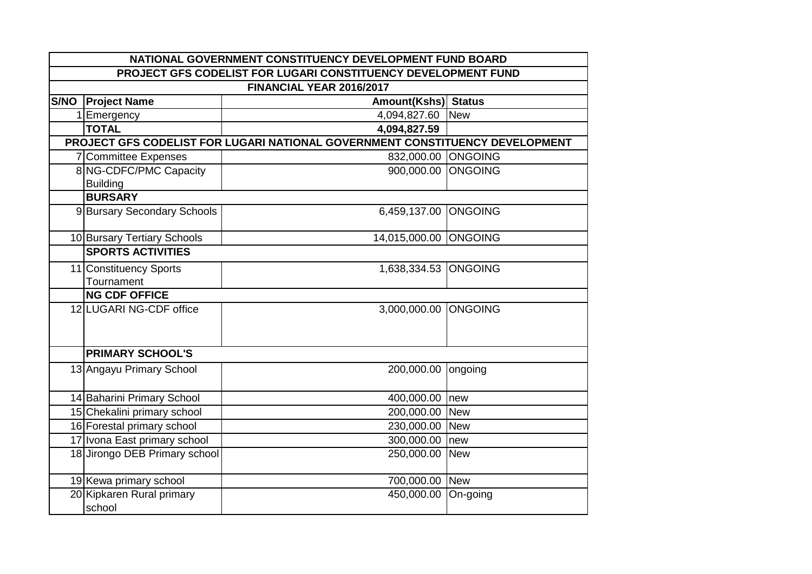|                                                               | NATIONAL GOVERNMENT CONSTITUENCY DEVELOPMENT FUND BOARD |                                                                              |                |  |
|---------------------------------------------------------------|---------------------------------------------------------|------------------------------------------------------------------------------|----------------|--|
| PROJECT GFS CODELIST FOR LUGARI CONSTITUENCY DEVELOPMENT FUND |                                                         |                                                                              |                |  |
|                                                               |                                                         | FINANCIAL YEAR 2016/2017                                                     |                |  |
| S/NO                                                          | <b>Project Name</b>                                     | Amount(Kshs) Status                                                          |                |  |
|                                                               | 1 Emergency                                             | 4,094,827.60                                                                 | <b>New</b>     |  |
|                                                               | <b>TOTAL</b>                                            | 4,094,827.59                                                                 |                |  |
|                                                               |                                                         | PROJECT GFS CODELIST FOR LUGARI NATIONAL GOVERNMENT CONSTITUENCY DEVELOPMENT |                |  |
|                                                               | 7 Committee Expenses                                    | 832,000.00 ONGOING                                                           |                |  |
|                                                               | 8 NG-CDFC/PMC Capacity                                  | 900,000.00 ONGOING                                                           |                |  |
|                                                               | <b>Building</b>                                         |                                                                              |                |  |
|                                                               | <b>BURSARY</b>                                          |                                                                              |                |  |
|                                                               | 9 Bursary Secondary Schools                             | 6,459,137.00                                                                 | <b>ONGOING</b> |  |
|                                                               | 10 Bursary Tertiary Schools                             | 14,015,000.00 ONGOING                                                        |                |  |
|                                                               | <b>SPORTS ACTIVITIES</b>                                |                                                                              |                |  |
|                                                               | 11 Constituency Sports                                  | 1,638,334.53 ONGOING                                                         |                |  |
|                                                               | Tournament                                              |                                                                              |                |  |
|                                                               | <b>NG CDF OFFICE</b>                                    |                                                                              |                |  |
|                                                               | 12 LUGARI NG-CDF office                                 | 3,000,000.00 ONGOING                                                         |                |  |
|                                                               | <b>PRIMARY SCHOOL'S</b>                                 |                                                                              |                |  |
|                                                               | 13 Angayu Primary School                                | 200,000.00                                                                   | ongoing        |  |
|                                                               | 14 Baharini Primary School                              | 400,000.00 new                                                               |                |  |
|                                                               | 15 Chekalini primary school                             | 200,000.00 New                                                               |                |  |
|                                                               | 16 Forestal primary school                              | 230,000.00 New                                                               |                |  |
|                                                               | 17 Ivona East primary school                            | 300,000.00 new                                                               |                |  |
|                                                               | 18 Jirongo DEB Primary school                           | 250,000.00 New                                                               |                |  |
|                                                               | 19 Kewa primary school                                  | 700,000.00 New                                                               |                |  |
|                                                               | 20 Kipkaren Rural primary<br>school                     | 450,000.00                                                                   | On-going       |  |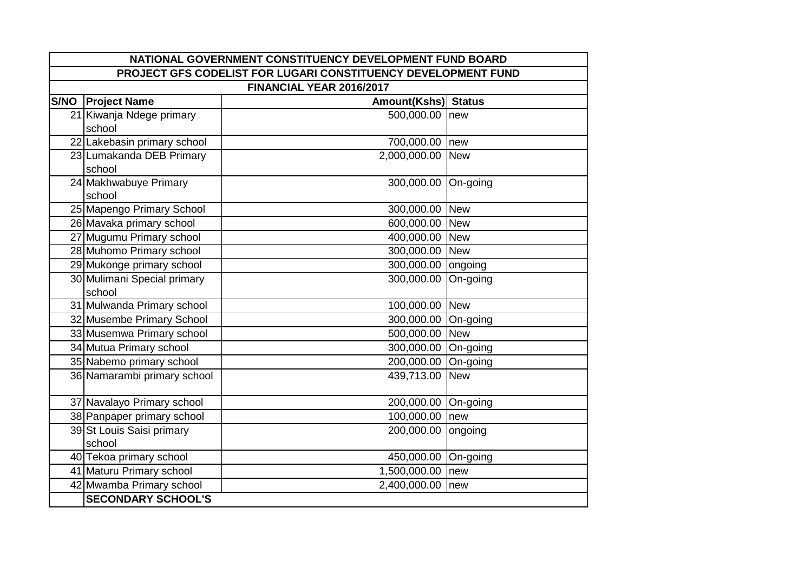| NATIONAL GOVERNMENT CONSTITUENCY DEVELOPMENT FUND BOARD       |                                       |                     |            |
|---------------------------------------------------------------|---------------------------------------|---------------------|------------|
| PROJECT GFS CODELIST FOR LUGARI CONSTITUENCY DEVELOPMENT FUND |                                       |                     |            |
| FINANCIAL YEAR 2016/2017                                      |                                       |                     |            |
| <b>S/NO</b>                                                   | <b>Project Name</b>                   | Amount(Kshs) Status |            |
|                                                               | 21 Kiwanja Ndege primary              | 500,000.00 new      |            |
|                                                               | school                                |                     |            |
|                                                               | 22 Lakebasin primary school           | 700,000.00 new      |            |
|                                                               | 23 Lumakanda DEB Primary<br>school    | 2,000,000.00        | <b>New</b> |
|                                                               | 24 Makhwabuye Primary<br>school       | 300,000.00 On-going |            |
|                                                               | 25 Mapengo Primary School             | 300,000.00 New      |            |
|                                                               | 26 Mavaka primary school              | 600,000.00          | <b>New</b> |
|                                                               | 27 Mugumu Primary school              | 400,000.00 New      |            |
|                                                               | 28 Muhomo Primary school              | 300,000.00 New      |            |
|                                                               | 29 Mukonge primary school             | 300,000.00 ongoing  |            |
|                                                               | 30 Mulimani Special primary<br>school | 300,000.00          | On-going   |
|                                                               | 31 Mulwanda Primary school            | 100,000.00 New      |            |
|                                                               | 32 Musembe Primary School             | 300,000.00 On-going |            |
|                                                               | 33 Musemwa Primary school             | 500,000.00 New      |            |
|                                                               | 34 Mutua Primary school               | 300,000.00 On-going |            |
|                                                               | 35 Nabemo primary school              | 200,000.00 On-going |            |
|                                                               | 36 Namarambi primary school           | 439,713.00          | <b>New</b> |
|                                                               | 37 Navalayo Primary school            | 200,000.00 On-going |            |
|                                                               | 38 Panpaper primary school            | 100,000.00          | new        |
|                                                               | 39 St Louis Saisi primary<br>school   | 200,000.00          | ongoing    |
|                                                               | 40 Tekoa primary school               | 450,000.00 On-going |            |
|                                                               | 41 Maturu Primary school              | 1,500,000.00        | new        |
|                                                               | 42 Mwamba Primary school              | 2,400,000.00        | new        |
|                                                               | <b>SECONDARY SCHOOL'S</b>             |                     |            |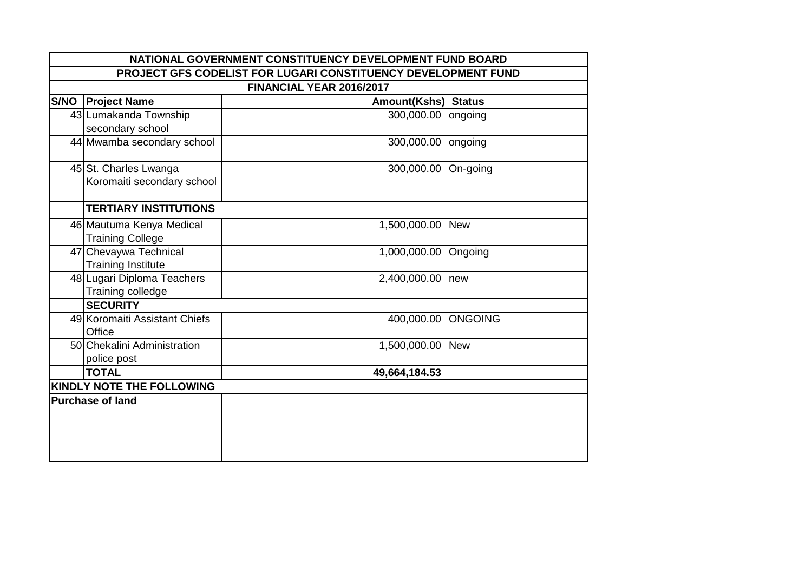|                                  | NATIONAL GOVERNMENT CONSTITUENCY DEVELOPMENT FUND BOARD       |                     |                |  |
|----------------------------------|---------------------------------------------------------------|---------------------|----------------|--|
|                                  | PROJECT GFS CODELIST FOR LUGARI CONSTITUENCY DEVELOPMENT FUND |                     |                |  |
|                                  | FINANCIAL YEAR 2016/2017                                      |                     |                |  |
|                                  | S/NO   Project Name                                           | Amount(Kshs) Status |                |  |
|                                  | 43 Lumakanda Township                                         | 300,000.00          | ongoing        |  |
|                                  | secondary school                                              |                     |                |  |
|                                  | 44 Mwamba secondary school                                    | 300,000.00          | ongoing        |  |
|                                  | 45 St. Charles Lwanga                                         | 300,000.00          | On-going       |  |
|                                  | Koromaiti secondary school                                    |                     |                |  |
|                                  | <b>TERTIARY INSTITUTIONS</b>                                  |                     |                |  |
|                                  | 46 Mautuma Kenya Medical                                      | 1,500,000.00 New    |                |  |
|                                  | <b>Training College</b>                                       |                     |                |  |
|                                  | 47 Chevaywa Technical                                         | 1,000,000.00        | Ongoing        |  |
|                                  | <b>Training Institute</b>                                     |                     |                |  |
|                                  | 48 Lugari Diploma Teachers                                    | 2,400,000.00        | new            |  |
|                                  | Training colledge                                             |                     |                |  |
|                                  | <b>SECURITY</b>                                               |                     |                |  |
|                                  | 49 Koromaiti Assistant Chiefs                                 | 400,000.00          | <b>ONGOING</b> |  |
|                                  | Office                                                        |                     |                |  |
|                                  | 50 Chekalini Administration                                   | 1,500,000.00 New    |                |  |
|                                  | police post                                                   |                     |                |  |
|                                  | <b>TOTAL</b>                                                  | 49,664,184.53       |                |  |
| <b>KINDLY NOTE THE FOLLOWING</b> |                                                               |                     |                |  |
| <b>Purchase of land</b>          |                                                               |                     |                |  |
|                                  |                                                               |                     |                |  |
|                                  |                                                               |                     |                |  |
|                                  |                                                               |                     |                |  |
|                                  |                                                               |                     |                |  |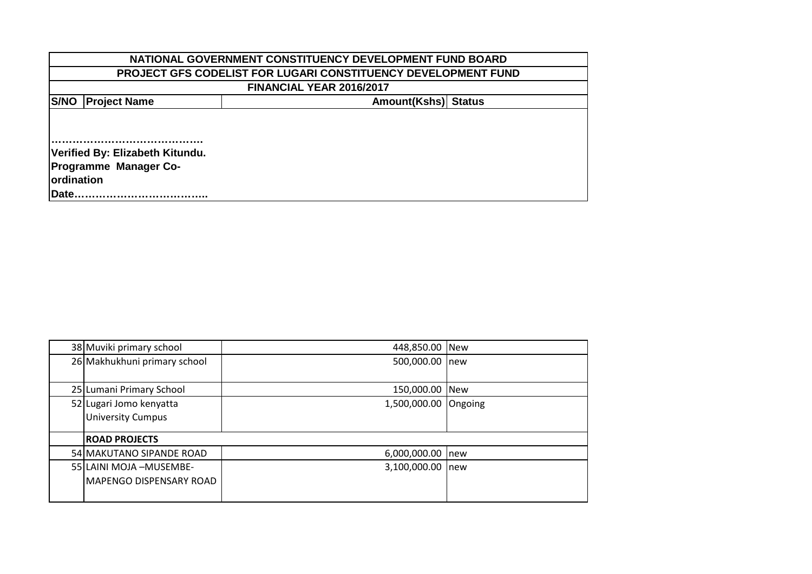| NATIONAL GOVERNMENT CONSTITUENCY DEVELOPMENT FUND BOARD |                                                               |  |  |  |  |
|---------------------------------------------------------|---------------------------------------------------------------|--|--|--|--|
|                                                         | PROJECT GFS CODELIST FOR LUGARI CONSTITUENCY DEVELOPMENT FUND |  |  |  |  |
| FINANCIAL YEAR 2016/2017                                |                                                               |  |  |  |  |
| S/NO                                                    | <b>Project Name</b><br>Amount(Kshs) Status                    |  |  |  |  |
|                                                         |                                                               |  |  |  |  |
|                                                         |                                                               |  |  |  |  |
| Verified By: Elizabeth Kitundu.                         |                                                               |  |  |  |  |
|                                                         | <b>Programme Manager Co-</b>                                  |  |  |  |  |
|                                                         | <b>lordination</b>                                            |  |  |  |  |
| Date.                                                   |                                                               |  |  |  |  |

| 38 Muviki primary school       | 448,850.00 New       |  |
|--------------------------------|----------------------|--|
| 26 Makhukhuni primary school   | 500,000.00 new       |  |
|                                |                      |  |
| 25 Lumani Primary School       | 150,000.00 New       |  |
| 52 Lugari Jomo kenyatta        | 1,500,000.00 Ongoing |  |
| <b>University Cumpus</b>       |                      |  |
|                                |                      |  |
| <b>ROAD PROJECTS</b>           |                      |  |
| 54 MAKUTANO SIPANDE ROAD       | 6,000,000.00 new     |  |
| 55 LAINI MOJA - MUSEMBE-       | 3,100,000.00 new     |  |
| <b>MAPENGO DISPENSARY ROAD</b> |                      |  |
|                                |                      |  |